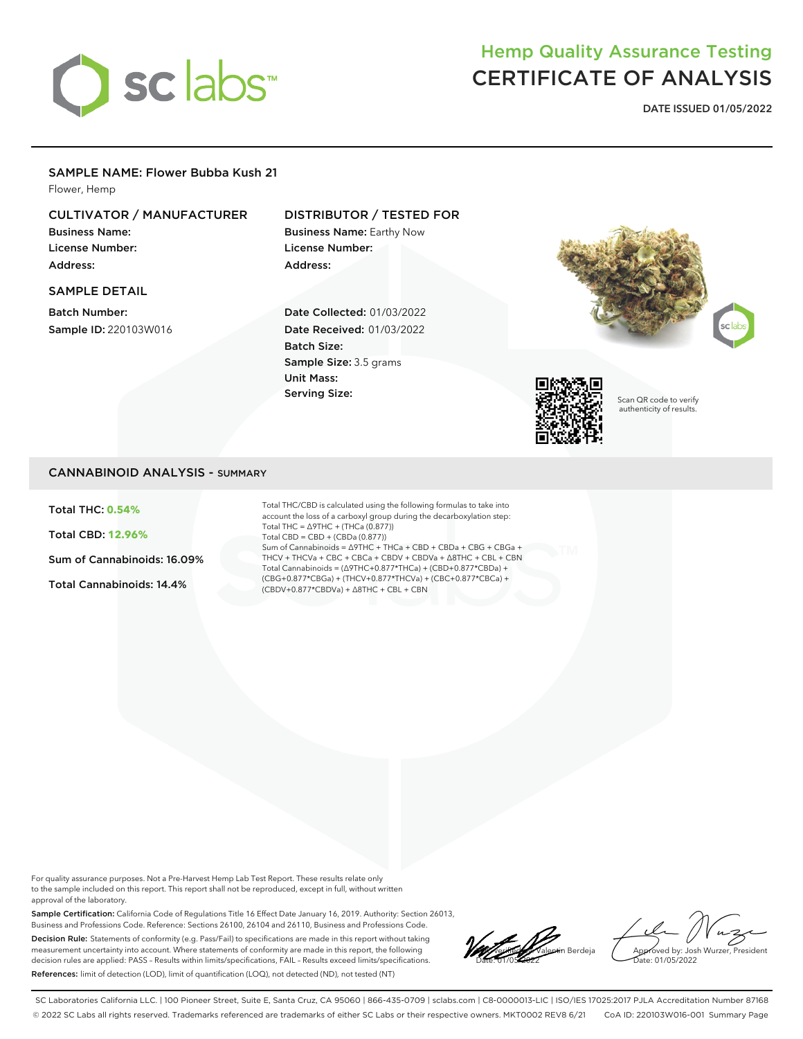

# Hemp Quality Assurance Testing CERTIFICATE OF ANALYSIS

**DATE ISSUED 01/05/2022**

### SAMPLE NAME: Flower Bubba Kush 21

Flower, Hemp

### CULTIVATOR / MANUFACTURER

Business Name: License Number: Address:

SAMPLE DETAIL

Batch Number: Sample ID: 220103W016

### DISTRIBUTOR / TESTED FOR

Business Name: Earthy Now License Number: Address:

Date Collected: 01/03/2022 Date Received: 01/03/2022 Batch Size: Sample Size: 3.5 grams Unit Mass: Serving Size:





Scan QR code to verify authenticity of results.

### CANNABINOID ANALYSIS - SUMMARY

Total THC: **0.54%**

Total CBD: **12.96%**

Sum of Cannabinoids: 16.09%

Total Cannabinoids: 14.4%

Total THC/CBD is calculated using the following formulas to take into account the loss of a carboxyl group during the decarboxylation step: Total THC = ∆9THC + (THCa (0.877)) Total CBD = CBD + (CBDa (0.877)) Sum of Cannabinoids = ∆9THC + THCa + CBD + CBDa + CBG + CBGa + THCV + THCVa + CBC + CBCa + CBDV + CBDVa + ∆8THC + CBL + CBN Total Cannabinoids = (∆9THC+0.877\*THCa) + (CBD+0.877\*CBDa) + (CBG+0.877\*CBGa) + (THCV+0.877\*THCVa) + (CBC+0.877\*CBCa) + (CBDV+0.877\*CBDVa) + ∆8THC + CBL + CBN

For quality assurance purposes. Not a Pre-Harvest Hemp Lab Test Report. These results relate only to the sample included on this report. This report shall not be reproduced, except in full, without written approval of the laboratory.

Sample Certification: California Code of Regulations Title 16 Effect Date January 16, 2019. Authority: Section 26013, Business and Professions Code. Reference: Sections 26100, 26104 and 26110, Business and Professions Code. Decision Rule: Statements of conformity (e.g. Pass/Fail) to specifications are made in this report without taking measurement uncertainty into account. Where statements of conformity are made in this report, the following decision rules are applied: PASS – Results within limits/specifications, FAIL – Results exceed limits/specifications. References: limit of detection (LOD), limit of quantification (LOQ), not detected (ND), not tested (NT)

**Lacco verification**<br>Nalentin Berdeja Date: 01/05/2022

Approved by: Josh Wurzer, President ate: 01/05/2022

SC Laboratories California LLC. | 100 Pioneer Street, Suite E, Santa Cruz, CA 95060 | 866-435-0709 | sclabs.com | C8-0000013-LIC | ISO/IES 17025:2017 PJLA Accreditation Number 87168 © 2022 SC Labs all rights reserved. Trademarks referenced are trademarks of either SC Labs or their respective owners. MKT0002 REV8 6/21 CoA ID: 220103W016-001 Summary Page